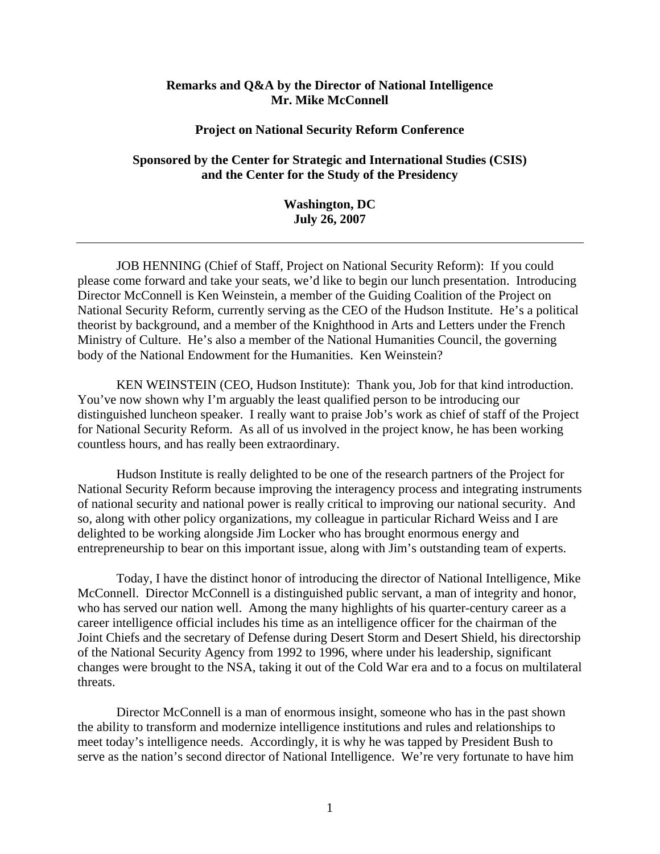## **Remarks and Q&A by the Director of National Intelligence Mr. Mike McConnell**

## **Project on National Security Reform Conference**

## **Sponsored by the Center for Strategic and International Studies (CSIS) and the Center for the Study of the Presidency**

**Washington, DC July 26, 2007**

JOB HENNING (Chief of Staff, Project on National Security Reform): If you could please come forward and take your seats, we'd like to begin our lunch presentation. Introducing Director McConnell is Ken Weinstein, a member of the Guiding Coalition of the Project on National Security Reform, currently serving as the CEO of the Hudson Institute. He's a political theorist by background, and a member of the Knighthood in Arts and Letters under the French Ministry of Culture. He's also a member of the National Humanities Council, the governing body of the National Endowment for the Humanities. Ken Weinstein?

KEN WEINSTEIN (CEO, Hudson Institute): Thank you, Job for that kind introduction. You've now shown why I'm arguably the least qualified person to be introducing our distinguished luncheon speaker. I really want to praise Job's work as chief of staff of the Project for National Security Reform. As all of us involved in the project know, he has been working countless hours, and has really been extraordinary.

Hudson Institute is really delighted to be one of the research partners of the Project for National Security Reform because improving the interagency process and integrating instruments of national security and national power is really critical to improving our national security. And so, along with other policy organizations, my colleague in particular Richard Weiss and I are delighted to be working alongside Jim Locker who has brought enormous energy and entrepreneurship to bear on this important issue, along with Jim's outstanding team of experts.

Today, I have the distinct honor of introducing the director of National Intelligence, Mike McConnell. Director McConnell is a distinguished public servant, a man of integrity and honor, who has served our nation well. Among the many highlights of his quarter-century career as a career intelligence official includes his time as an intelligence officer for the chairman of the Joint Chiefs and the secretary of Defense during Desert Storm and Desert Shield, his directorship of the National Security Agency from 1992 to 1996, where under his leadership, significant changes were brought to the NSA, taking it out of the Cold War era and to a focus on multilateral threats.

Director McConnell is a man of enormous insight, someone who has in the past shown the ability to transform and modernize intelligence institutions and rules and relationships to meet today's intelligence needs. Accordingly, it is why he was tapped by President Bush to serve as the nation's second director of National Intelligence. We're very fortunate to have him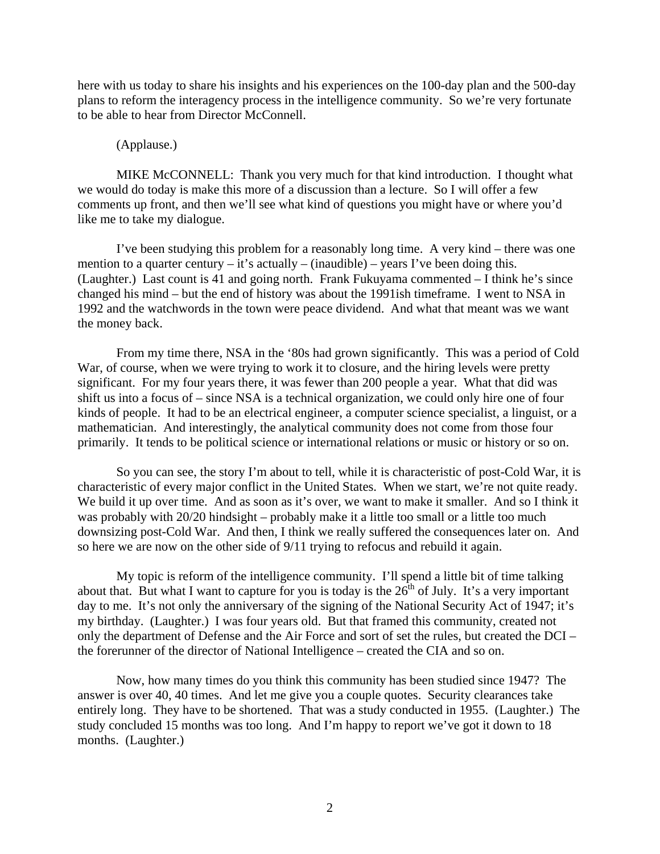here with us today to share his insights and his experiences on the 100-day plan and the 500-day plans to reform the interagency process in the intelligence community. So we're very fortunate to be able to hear from Director McConnell.

## (Applause.)

MIKE McCONNELL: Thank you very much for that kind introduction. I thought what we would do today is make this more of a discussion than a lecture. So I will offer a few comments up front, and then we'll see what kind of questions you might have or where you'd like me to take my dialogue.

I've been studying this problem for a reasonably long time. A very kind – there was one mention to a quarter century – it's actually – (inaudible) – years I've been doing this. (Laughter.) Last count is 41 and going north. Frank Fukuyama commented – I think he's since changed his mind – but the end of history was about the 1991ish timeframe. I went to NSA in 1992 and the watchwords in the town were peace dividend. And what that meant was we want the money back.

From my time there, NSA in the '80s had grown significantly. This was a period of Cold War, of course, when we were trying to work it to closure, and the hiring levels were pretty significant. For my four years there, it was fewer than 200 people a year. What that did was shift us into a focus of – since NSA is a technical organization, we could only hire one of four kinds of people. It had to be an electrical engineer, a computer science specialist, a linguist, or a mathematician. And interestingly, the analytical community does not come from those four primarily. It tends to be political science or international relations or music or history or so on.

So you can see, the story I'm about to tell, while it is characteristic of post-Cold War, it is characteristic of every major conflict in the United States. When we start, we're not quite ready. We build it up over time. And as soon as it's over, we want to make it smaller. And so I think it was probably with 20/20 hindsight – probably make it a little too small or a little too much downsizing post-Cold War. And then, I think we really suffered the consequences later on. And so here we are now on the other side of 9/11 trying to refocus and rebuild it again.

My topic is reform of the intelligence community. I'll spend a little bit of time talking about that. But what I want to capture for you is today is the  $26<sup>th</sup>$  of July. It's a very important day to me. It's not only the anniversary of the signing of the National Security Act of 1947; it's my birthday. (Laughter.) I was four years old. But that framed this community, created not only the department of Defense and the Air Force and sort of set the rules, but created the DCI – the forerunner of the director of National Intelligence – created the CIA and so on.

Now, how many times do you think this community has been studied since 1947? The answer is over 40, 40 times. And let me give you a couple quotes. Security clearances take entirely long. They have to be shortened. That was a study conducted in 1955. (Laughter.) The study concluded 15 months was too long. And I'm happy to report we've got it down to 18 months. (Laughter.)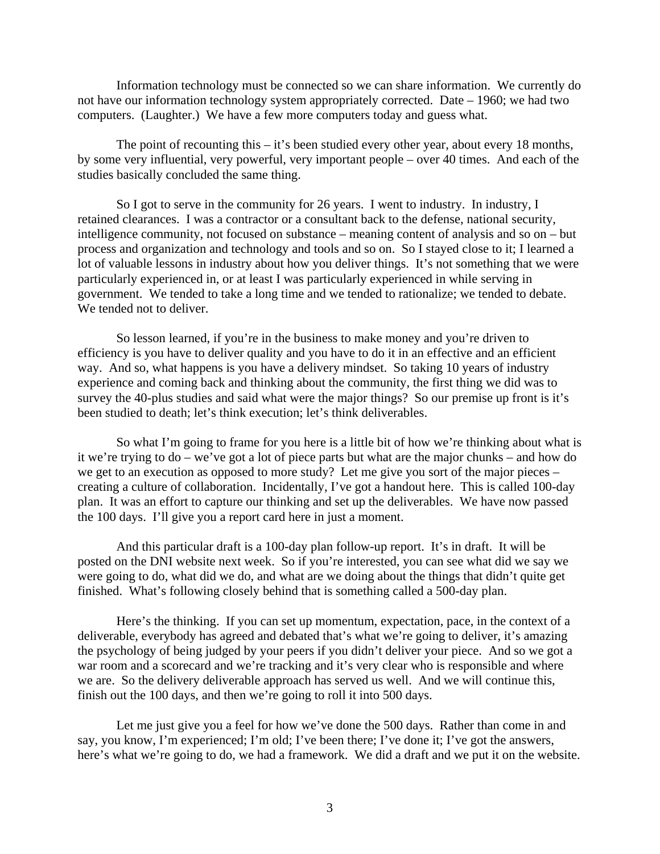Information technology must be connected so we can share information. We currently do not have our information technology system appropriately corrected. Date – 1960; we had two computers. (Laughter.) We have a few more computers today and guess what.

The point of recounting this  $-$  it's been studied every other year, about every 18 months, by some very influential, very powerful, very important people – over 40 times. And each of the studies basically concluded the same thing.

So I got to serve in the community for 26 years. I went to industry. In industry, I retained clearances. I was a contractor or a consultant back to the defense, national security, intelligence community, not focused on substance – meaning content of analysis and so on – but process and organization and technology and tools and so on. So I stayed close to it; I learned a lot of valuable lessons in industry about how you deliver things. It's not something that we were particularly experienced in, or at least I was particularly experienced in while serving in government. We tended to take a long time and we tended to rationalize; we tended to debate. We tended not to deliver.

So lesson learned, if you're in the business to make money and you're driven to efficiency is you have to deliver quality and you have to do it in an effective and an efficient way. And so, what happens is you have a delivery mindset. So taking 10 years of industry experience and coming back and thinking about the community, the first thing we did was to survey the 40-plus studies and said what were the major things? So our premise up front is it's been studied to death; let's think execution; let's think deliverables.

So what I'm going to frame for you here is a little bit of how we're thinking about what is it we're trying to do – we've got a lot of piece parts but what are the major chunks – and how do we get to an execution as opposed to more study? Let me give you sort of the major pieces – creating a culture of collaboration. Incidentally, I've got a handout here. This is called 100-day plan. It was an effort to capture our thinking and set up the deliverables. We have now passed the 100 days. I'll give you a report card here in just a moment.

And this particular draft is a 100-day plan follow-up report. It's in draft. It will be posted on the DNI website next week. So if you're interested, you can see what did we say we were going to do, what did we do, and what are we doing about the things that didn't quite get finished. What's following closely behind that is something called a 500-day plan.

Here's the thinking. If you can set up momentum, expectation, pace, in the context of a deliverable, everybody has agreed and debated that's what we're going to deliver, it's amazing the psychology of being judged by your peers if you didn't deliver your piece. And so we got a war room and a scorecard and we're tracking and it's very clear who is responsible and where we are. So the delivery deliverable approach has served us well. And we will continue this, finish out the 100 days, and then we're going to roll it into 500 days.

Let me just give you a feel for how we've done the 500 days. Rather than come in and say, you know, I'm experienced; I'm old; I've been there; I've done it; I've got the answers, here's what we're going to do, we had a framework. We did a draft and we put it on the website.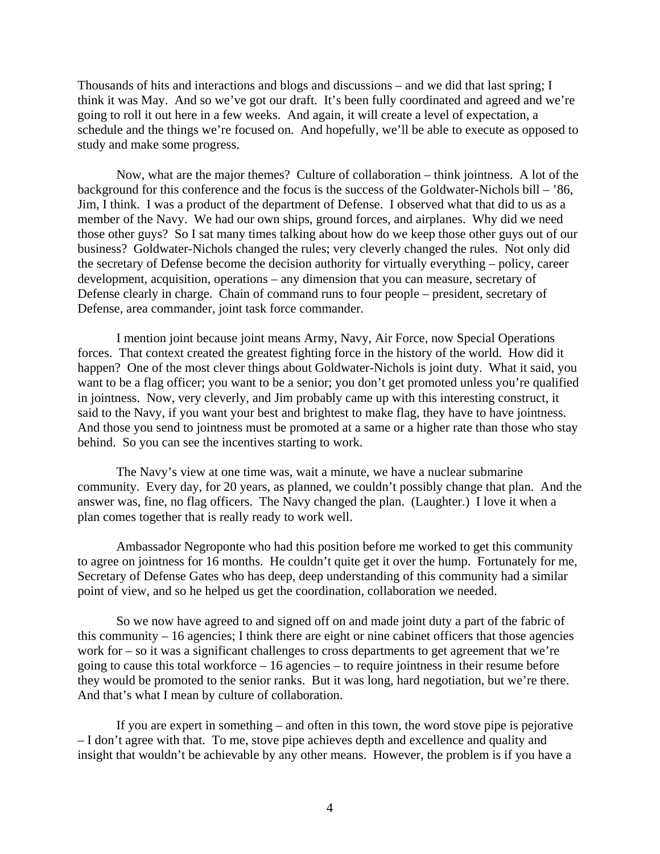Thousands of hits and interactions and blogs and discussions – and we did that last spring; I think it was May. And so we've got our draft. It's been fully coordinated and agreed and we're going to roll it out here in a few weeks. And again, it will create a level of expectation, a schedule and the things we're focused on. And hopefully, we'll be able to execute as opposed to study and make some progress.

Now, what are the major themes? Culture of collaboration – think jointness. A lot of the background for this conference and the focus is the success of the Goldwater-Nichols bill – '86, Jim, I think. I was a product of the department of Defense. I observed what that did to us as a member of the Navy. We had our own ships, ground forces, and airplanes. Why did we need those other guys? So I sat many times talking about how do we keep those other guys out of our business? Goldwater-Nichols changed the rules; very cleverly changed the rules. Not only did the secretary of Defense become the decision authority for virtually everything – policy, career development, acquisition, operations – any dimension that you can measure, secretary of Defense clearly in charge. Chain of command runs to four people – president, secretary of Defense, area commander, joint task force commander.

I mention joint because joint means Army, Navy, Air Force, now Special Operations forces. That context created the greatest fighting force in the history of the world. How did it happen? One of the most clever things about Goldwater-Nichols is joint duty. What it said, you want to be a flag officer; you want to be a senior; you don't get promoted unless you're qualified in jointness. Now, very cleverly, and Jim probably came up with this interesting construct, it said to the Navy, if you want your best and brightest to make flag, they have to have jointness. And those you send to jointness must be promoted at a same or a higher rate than those who stay behind. So you can see the incentives starting to work.

The Navy's view at one time was, wait a minute, we have a nuclear submarine community. Every day, for 20 years, as planned, we couldn't possibly change that plan. And the answer was, fine, no flag officers. The Navy changed the plan. (Laughter.) I love it when a plan comes together that is really ready to work well.

Ambassador Negroponte who had this position before me worked to get this community to agree on jointness for 16 months. He couldn't quite get it over the hump. Fortunately for me, Secretary of Defense Gates who has deep, deep understanding of this community had a similar point of view, and so he helped us get the coordination, collaboration we needed.

So we now have agreed to and signed off on and made joint duty a part of the fabric of this community – 16 agencies; I think there are eight or nine cabinet officers that those agencies work for – so it was a significant challenges to cross departments to get agreement that we're going to cause this total workforce – 16 agencies – to require jointness in their resume before they would be promoted to the senior ranks. But it was long, hard negotiation, but we're there. And that's what I mean by culture of collaboration.

If you are expert in something – and often in this town, the word stove pipe is pejorative – I don't agree with that. To me, stove pipe achieves depth and excellence and quality and insight that wouldn't be achievable by any other means. However, the problem is if you have a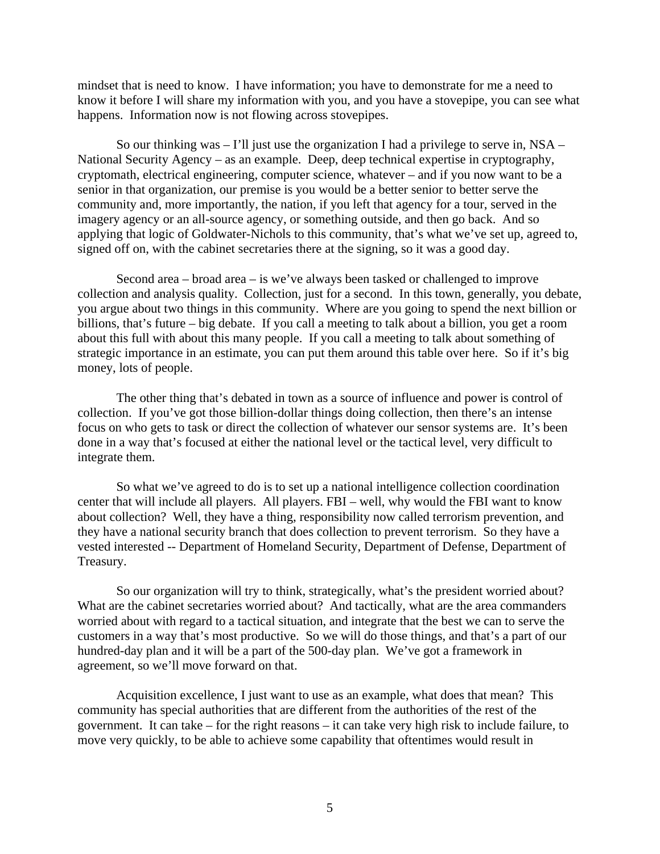mindset that is need to know. I have information; you have to demonstrate for me a need to know it before I will share my information with you, and you have a stovepipe, you can see what happens. Information now is not flowing across stovepipes.

So our thinking was  $-1$ 'll just use the organization I had a privilege to serve in, NSA – National Security Agency – as an example. Deep, deep technical expertise in cryptography, cryptomath, electrical engineering, computer science, whatever – and if you now want to be a senior in that organization, our premise is you would be a better senior to better serve the community and, more importantly, the nation, if you left that agency for a tour, served in the imagery agency or an all-source agency, or something outside, and then go back. And so applying that logic of Goldwater-Nichols to this community, that's what we've set up, agreed to, signed off on, with the cabinet secretaries there at the signing, so it was a good day.

Second area – broad area – is we've always been tasked or challenged to improve collection and analysis quality. Collection, just for a second. In this town, generally, you debate, you argue about two things in this community. Where are you going to spend the next billion or billions, that's future – big debate. If you call a meeting to talk about a billion, you get a room about this full with about this many people. If you call a meeting to talk about something of strategic importance in an estimate, you can put them around this table over here. So if it's big money, lots of people.

The other thing that's debated in town as a source of influence and power is control of collection. If you've got those billion-dollar things doing collection, then there's an intense focus on who gets to task or direct the collection of whatever our sensor systems are. It's been done in a way that's focused at either the national level or the tactical level, very difficult to integrate them.

So what we've agreed to do is to set up a national intelligence collection coordination center that will include all players. All players. FBI – well, why would the FBI want to know about collection? Well, they have a thing, responsibility now called terrorism prevention, and they have a national security branch that does collection to prevent terrorism. So they have a vested interested -- Department of Homeland Security, Department of Defense, Department of Treasury.

So our organization will try to think, strategically, what's the president worried about? What are the cabinet secretaries worried about? And tactically, what are the area commanders worried about with regard to a tactical situation, and integrate that the best we can to serve the customers in a way that's most productive. So we will do those things, and that's a part of our hundred-day plan and it will be a part of the 500-day plan. We've got a framework in agreement, so we'll move forward on that.

Acquisition excellence, I just want to use as an example, what does that mean? This community has special authorities that are different from the authorities of the rest of the government. It can take – for the right reasons – it can take very high risk to include failure, to move very quickly, to be able to achieve some capability that oftentimes would result in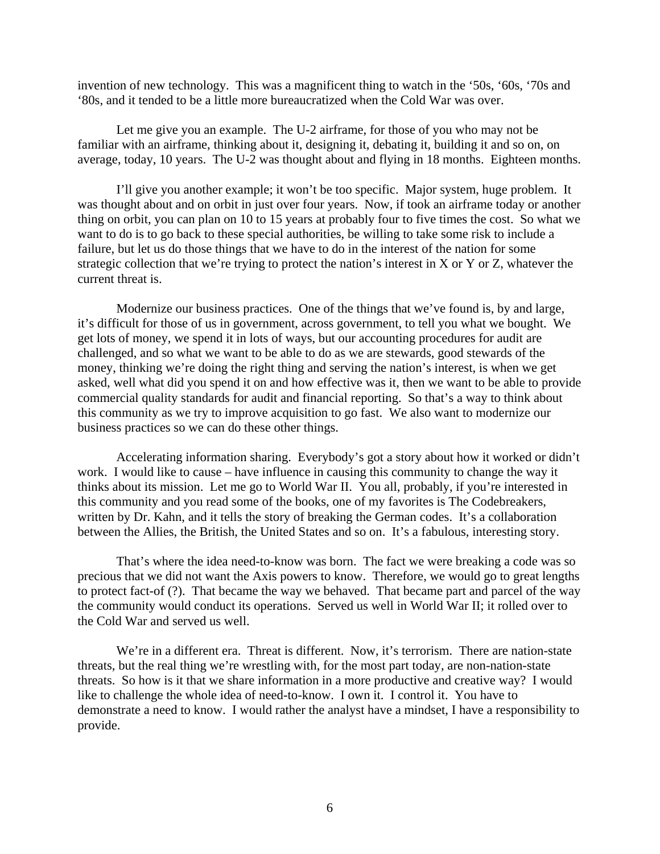invention of new technology. This was a magnificent thing to watch in the '50s, '60s, '70s and '80s, and it tended to be a little more bureaucratized when the Cold War was over.

Let me give you an example. The U-2 airframe, for those of you who may not be familiar with an airframe, thinking about it, designing it, debating it, building it and so on, on average, today, 10 years. The U-2 was thought about and flying in 18 months. Eighteen months.

I'll give you another example; it won't be too specific. Major system, huge problem. It was thought about and on orbit in just over four years. Now, if took an airframe today or another thing on orbit, you can plan on 10 to 15 years at probably four to five times the cost. So what we want to do is to go back to these special authorities, be willing to take some risk to include a failure, but let us do those things that we have to do in the interest of the nation for some strategic collection that we're trying to protect the nation's interest in X or Y or Z, whatever the current threat is.

Modernize our business practices. One of the things that we've found is, by and large, it's difficult for those of us in government, across government, to tell you what we bought. We get lots of money, we spend it in lots of ways, but our accounting procedures for audit are challenged, and so what we want to be able to do as we are stewards, good stewards of the money, thinking we're doing the right thing and serving the nation's interest, is when we get asked, well what did you spend it on and how effective was it, then we want to be able to provide commercial quality standards for audit and financial reporting. So that's a way to think about this community as we try to improve acquisition to go fast. We also want to modernize our business practices so we can do these other things.

Accelerating information sharing. Everybody's got a story about how it worked or didn't work. I would like to cause – have influence in causing this community to change the way it thinks about its mission. Let me go to World War II. You all, probably, if you're interested in this community and you read some of the books, one of my favorites is The Codebreakers, written by Dr. Kahn, and it tells the story of breaking the German codes. It's a collaboration between the Allies, the British, the United States and so on. It's a fabulous, interesting story.

That's where the idea need-to-know was born. The fact we were breaking a code was so precious that we did not want the Axis powers to know. Therefore, we would go to great lengths to protect fact-of (?). That became the way we behaved. That became part and parcel of the way the community would conduct its operations. Served us well in World War II; it rolled over to the Cold War and served us well.

We're in a different era. Threat is different. Now, it's terrorism. There are nation-state threats, but the real thing we're wrestling with, for the most part today, are non-nation-state threats. So how is it that we share information in a more productive and creative way? I would like to challenge the whole idea of need-to-know. I own it. I control it. You have to demonstrate a need to know. I would rather the analyst have a mindset, I have a responsibility to provide.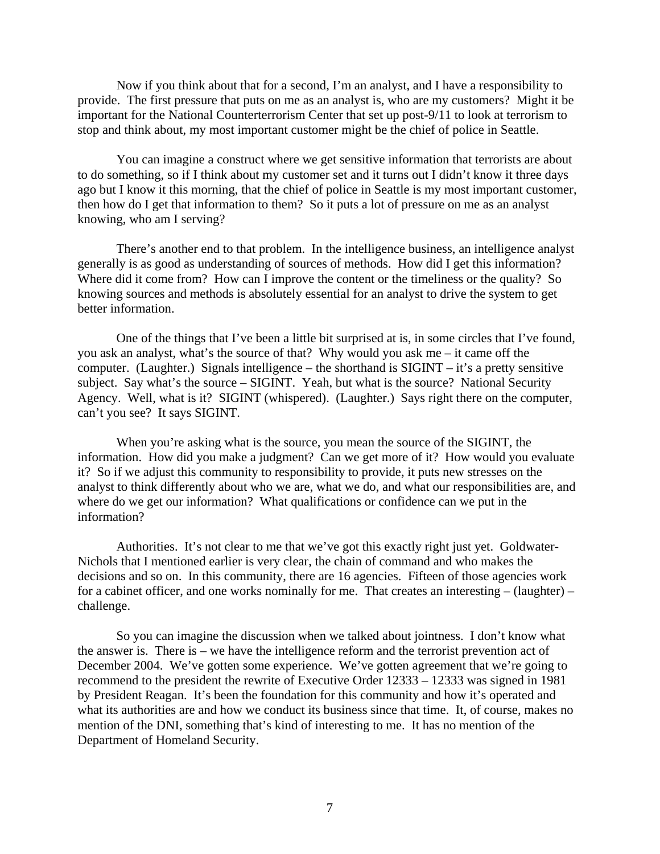Now if you think about that for a second, I'm an analyst, and I have a responsibility to provide. The first pressure that puts on me as an analyst is, who are my customers? Might it be important for the National Counterterrorism Center that set up post-9/11 to look at terrorism to stop and think about, my most important customer might be the chief of police in Seattle.

You can imagine a construct where we get sensitive information that terrorists are about to do something, so if I think about my customer set and it turns out I didn't know it three days ago but I know it this morning, that the chief of police in Seattle is my most important customer, then how do I get that information to them? So it puts a lot of pressure on me as an analyst knowing, who am I serving?

There's another end to that problem. In the intelligence business, an intelligence analyst generally is as good as understanding of sources of methods. How did I get this information? Where did it come from? How can I improve the content or the timeliness or the quality? So knowing sources and methods is absolutely essential for an analyst to drive the system to get better information.

One of the things that I've been a little bit surprised at is, in some circles that I've found, you ask an analyst, what's the source of that? Why would you ask me – it came off the computer. (Laughter.) Signals intelligence – the shorthand is  $SIGHT - it's$  a pretty sensitive subject. Say what's the source – SIGINT. Yeah, but what is the source? National Security Agency. Well, what is it? SIGINT (whispered). (Laughter.) Says right there on the computer, can't you see? It says SIGINT.

When you're asking what is the source, you mean the source of the SIGINT, the information. How did you make a judgment? Can we get more of it? How would you evaluate it? So if we adjust this community to responsibility to provide, it puts new stresses on the analyst to think differently about who we are, what we do, and what our responsibilities are, and where do we get our information? What qualifications or confidence can we put in the information?

Authorities. It's not clear to me that we've got this exactly right just yet. Goldwater-Nichols that I mentioned earlier is very clear, the chain of command and who makes the decisions and so on. In this community, there are 16 agencies. Fifteen of those agencies work for a cabinet officer, and one works nominally for me. That creates an interesting – (laughter) – challenge.

So you can imagine the discussion when we talked about jointness. I don't know what the answer is. There is – we have the intelligence reform and the terrorist prevention act of December 2004. We've gotten some experience. We've gotten agreement that we're going to recommend to the president the rewrite of Executive Order 12333 – 12333 was signed in 1981 by President Reagan. It's been the foundation for this community and how it's operated and what its authorities are and how we conduct its business since that time. It, of course, makes no mention of the DNI, something that's kind of interesting to me. It has no mention of the Department of Homeland Security.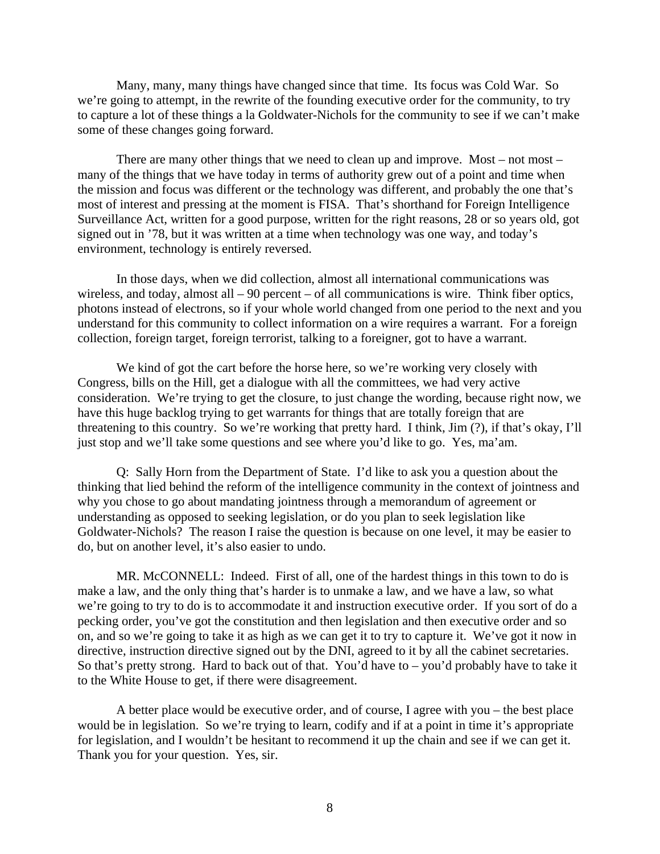Many, many, many things have changed since that time. Its focus was Cold War. So we're going to attempt, in the rewrite of the founding executive order for the community, to try to capture a lot of these things a la Goldwater-Nichols for the community to see if we can't make some of these changes going forward.

There are many other things that we need to clean up and improve. Most – not most – many of the things that we have today in terms of authority grew out of a point and time when the mission and focus was different or the technology was different, and probably the one that's most of interest and pressing at the moment is FISA. That's shorthand for Foreign Intelligence Surveillance Act, written for a good purpose, written for the right reasons, 28 or so years old, got signed out in '78, but it was written at a time when technology was one way, and today's environment, technology is entirely reversed.

In those days, when we did collection, almost all international communications was wireless, and today, almost all – 90 percent – of all communications is wire. Think fiber optics, photons instead of electrons, so if your whole world changed from one period to the next and you understand for this community to collect information on a wire requires a warrant. For a foreign collection, foreign target, foreign terrorist, talking to a foreigner, got to have a warrant.

We kind of got the cart before the horse here, so we're working very closely with Congress, bills on the Hill, get a dialogue with all the committees, we had very active consideration. We're trying to get the closure, to just change the wording, because right now, we have this huge backlog trying to get warrants for things that are totally foreign that are threatening to this country. So we're working that pretty hard. I think, Jim (?), if that's okay, I'll just stop and we'll take some questions and see where you'd like to go. Yes, ma'am.

Q: Sally Horn from the Department of State. I'd like to ask you a question about the thinking that lied behind the reform of the intelligence community in the context of jointness and why you chose to go about mandating jointness through a memorandum of agreement or understanding as opposed to seeking legislation, or do you plan to seek legislation like Goldwater-Nichols? The reason I raise the question is because on one level, it may be easier to do, but on another level, it's also easier to undo.

MR. McCONNELL: Indeed. First of all, one of the hardest things in this town to do is make a law, and the only thing that's harder is to unmake a law, and we have a law, so what we're going to try to do is to accommodate it and instruction executive order. If you sort of do a pecking order, you've got the constitution and then legislation and then executive order and so on, and so we're going to take it as high as we can get it to try to capture it. We've got it now in directive, instruction directive signed out by the DNI, agreed to it by all the cabinet secretaries. So that's pretty strong. Hard to back out of that. You'd have to – you'd probably have to take it to the White House to get, if there were disagreement.

A better place would be executive order, and of course, I agree with you – the best place would be in legislation. So we're trying to learn, codify and if at a point in time it's appropriate for legislation, and I wouldn't be hesitant to recommend it up the chain and see if we can get it. Thank you for your question. Yes, sir.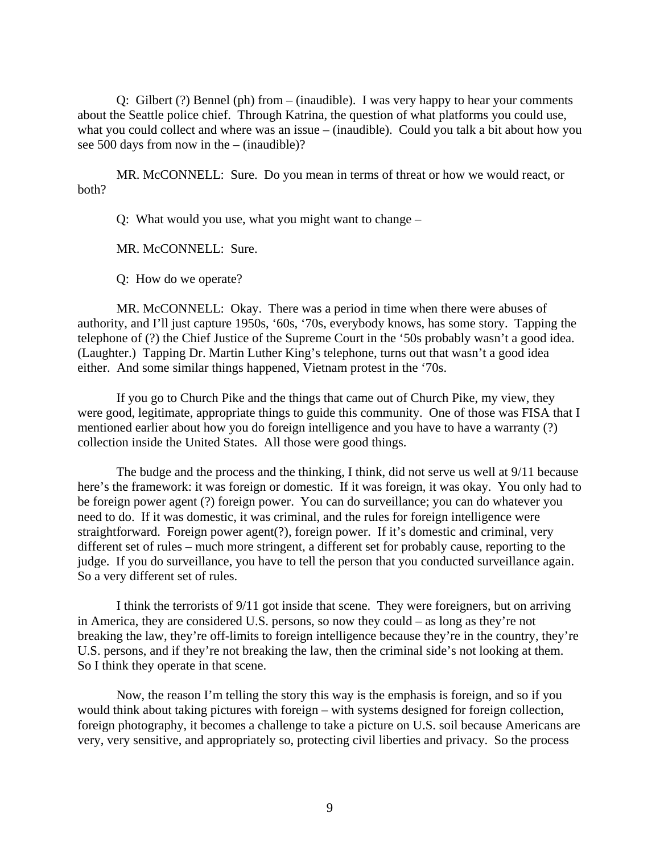Q: Gilbert (?) Bennel (ph) from – (inaudible). I was very happy to hear your comments about the Seattle police chief. Through Katrina, the question of what platforms you could use, what you could collect and where was an issue – (inaudible). Could you talk a bit about how you see 500 days from now in the – (inaudible)?

MR. McCONNELL: Sure. Do you mean in terms of threat or how we would react, or both?

Q: What would you use, what you might want to change –

MR. McCONNELL: Sure.

Q: How do we operate?

MR. McCONNELL: Okay. There was a period in time when there were abuses of authority, and I'll just capture 1950s, '60s, '70s, everybody knows, has some story. Tapping the telephone of (?) the Chief Justice of the Supreme Court in the '50s probably wasn't a good idea. (Laughter.) Tapping Dr. Martin Luther King's telephone, turns out that wasn't a good idea either. And some similar things happened, Vietnam protest in the '70s.

If you go to Church Pike and the things that came out of Church Pike, my view, they were good, legitimate, appropriate things to guide this community. One of those was FISA that I mentioned earlier about how you do foreign intelligence and you have to have a warranty (?) collection inside the United States. All those were good things.

The budge and the process and the thinking, I think, did not serve us well at 9/11 because here's the framework: it was foreign or domestic. If it was foreign, it was okay. You only had to be foreign power agent (?) foreign power. You can do surveillance; you can do whatever you need to do. If it was domestic, it was criminal, and the rules for foreign intelligence were straightforward. Foreign power agent(?), foreign power. If it's domestic and criminal, very different set of rules – much more stringent, a different set for probably cause, reporting to the judge. If you do surveillance, you have to tell the person that you conducted surveillance again. So a very different set of rules.

I think the terrorists of 9/11 got inside that scene. They were foreigners, but on arriving in America, they are considered U.S. persons, so now they could – as long as they're not breaking the law, they're off-limits to foreign intelligence because they're in the country, they're U.S. persons, and if they're not breaking the law, then the criminal side's not looking at them. So I think they operate in that scene.

Now, the reason I'm telling the story this way is the emphasis is foreign, and so if you would think about taking pictures with foreign – with systems designed for foreign collection, foreign photography, it becomes a challenge to take a picture on U.S. soil because Americans are very, very sensitive, and appropriately so, protecting civil liberties and privacy. So the process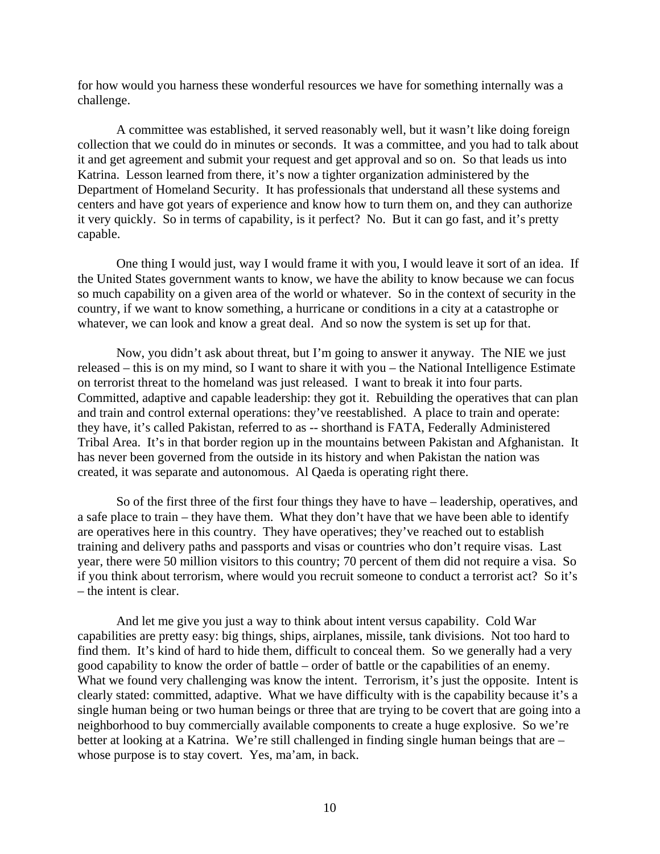for how would you harness these wonderful resources we have for something internally was a challenge.

A committee was established, it served reasonably well, but it wasn't like doing foreign collection that we could do in minutes or seconds. It was a committee, and you had to talk about it and get agreement and submit your request and get approval and so on. So that leads us into Katrina. Lesson learned from there, it's now a tighter organization administered by the Department of Homeland Security. It has professionals that understand all these systems and centers and have got years of experience and know how to turn them on, and they can authorize it very quickly. So in terms of capability, is it perfect? No. But it can go fast, and it's pretty capable.

One thing I would just, way I would frame it with you, I would leave it sort of an idea. If the United States government wants to know, we have the ability to know because we can focus so much capability on a given area of the world or whatever. So in the context of security in the country, if we want to know something, a hurricane or conditions in a city at a catastrophe or whatever, we can look and know a great deal. And so now the system is set up for that.

Now, you didn't ask about threat, but I'm going to answer it anyway. The NIE we just released – this is on my mind, so I want to share it with you – the National Intelligence Estimate on terrorist threat to the homeland was just released. I want to break it into four parts. Committed, adaptive and capable leadership: they got it. Rebuilding the operatives that can plan and train and control external operations: they've reestablished. A place to train and operate: they have, it's called Pakistan, referred to as -- shorthand is FATA, Federally Administered Tribal Area. It's in that border region up in the mountains between Pakistan and Afghanistan. It has never been governed from the outside in its history and when Pakistan the nation was created, it was separate and autonomous. Al Qaeda is operating right there.

 So of the first three of the first four things they have to have – leadership, operatives, and a safe place to train – they have them. What they don't have that we have been able to identify are operatives here in this country. They have operatives; they've reached out to establish training and delivery paths and passports and visas or countries who don't require visas. Last year, there were 50 million visitors to this country; 70 percent of them did not require a visa. So if you think about terrorism, where would you recruit someone to conduct a terrorist act? So it's – the intent is clear.

 And let me give you just a way to think about intent versus capability. Cold War capabilities are pretty easy: big things, ships, airplanes, missile, tank divisions. Not too hard to find them. It's kind of hard to hide them, difficult to conceal them. So we generally had a very good capability to know the order of battle – order of battle or the capabilities of an enemy. What we found very challenging was know the intent. Terrorism, it's just the opposite. Intent is clearly stated: committed, adaptive. What we have difficulty with is the capability because it's a single human being or two human beings or three that are trying to be covert that are going into a neighborhood to buy commercially available components to create a huge explosive. So we're better at looking at a Katrina. We're still challenged in finding single human beings that are – whose purpose is to stay covert. Yes, ma'am, in back.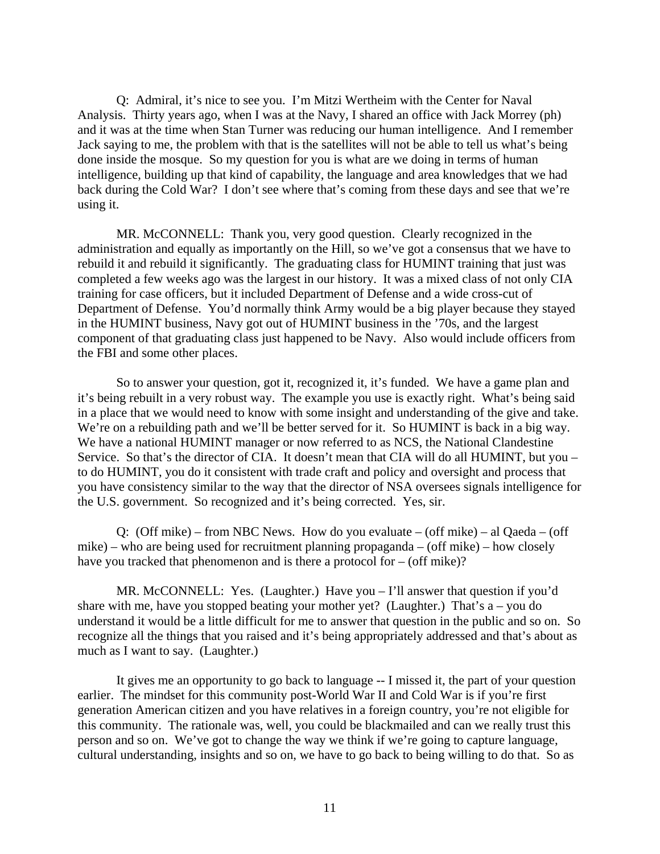Q: Admiral, it's nice to see you. I'm Mitzi Wertheim with the Center for Naval Analysis. Thirty years ago, when I was at the Navy, I shared an office with Jack Morrey (ph) and it was at the time when Stan Turner was reducing our human intelligence. And I remember Jack saying to me, the problem with that is the satellites will not be able to tell us what's being done inside the mosque. So my question for you is what are we doing in terms of human intelligence, building up that kind of capability, the language and area knowledges that we had back during the Cold War? I don't see where that's coming from these days and see that we're using it.

 MR. McCONNELL: Thank you, very good question. Clearly recognized in the administration and equally as importantly on the Hill, so we've got a consensus that we have to rebuild it and rebuild it significantly. The graduating class for HUMINT training that just was completed a few weeks ago was the largest in our history. It was a mixed class of not only CIA training for case officers, but it included Department of Defense and a wide cross-cut of Department of Defense. You'd normally think Army would be a big player because they stayed in the HUMINT business, Navy got out of HUMINT business in the '70s, and the largest component of that graduating class just happened to be Navy. Also would include officers from the FBI and some other places.

 So to answer your question, got it, recognized it, it's funded. We have a game plan and it's being rebuilt in a very robust way. The example you use is exactly right. What's being said in a place that we would need to know with some insight and understanding of the give and take. We're on a rebuilding path and we'll be better served for it. So HUMINT is back in a big way. We have a national HUMINT manager or now referred to as NCS, the National Clandestine Service. So that's the director of CIA. It doesn't mean that CIA will do all HUMINT, but you – to do HUMINT, you do it consistent with trade craft and policy and oversight and process that you have consistency similar to the way that the director of NSA oversees signals intelligence for the U.S. government. So recognized and it's being corrected. Yes, sir.

Q: (Off mike) – from NBC News. How do you evaluate – (off mike) – al Qaeda – (off mike) – who are being used for recruitment planning propaganda – (off mike) – how closely have you tracked that phenomenon and is there a protocol for – (off mike)?

 MR. McCONNELL: Yes. (Laughter.) Have you – I'll answer that question if you'd share with me, have you stopped beating your mother yet? (Laughter.) That's  $a - you$  do understand it would be a little difficult for me to answer that question in the public and so on. So recognize all the things that you raised and it's being appropriately addressed and that's about as much as I want to say. (Laughter.)

It gives me an opportunity to go back to language -- I missed it, the part of your question earlier. The mindset for this community post-World War II and Cold War is if you're first generation American citizen and you have relatives in a foreign country, you're not eligible for this community. The rationale was, well, you could be blackmailed and can we really trust this person and so on. We've got to change the way we think if we're going to capture language, cultural understanding, insights and so on, we have to go back to being willing to do that. So as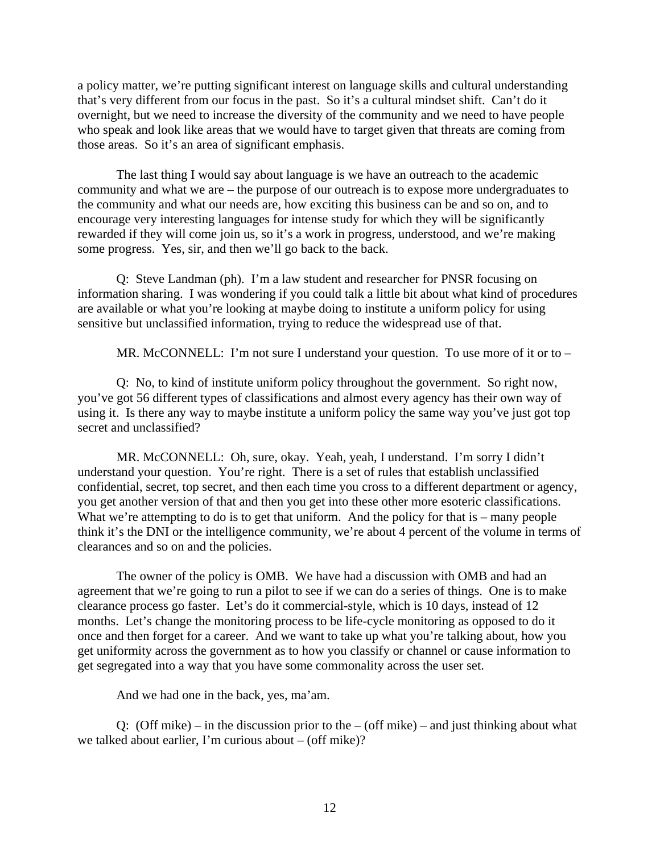a policy matter, we're putting significant interest on language skills and cultural understanding that's very different from our focus in the past. So it's a cultural mindset shift. Can't do it overnight, but we need to increase the diversity of the community and we need to have people who speak and look like areas that we would have to target given that threats are coming from those areas. So it's an area of significant emphasis.

The last thing I would say about language is we have an outreach to the academic community and what we are – the purpose of our outreach is to expose more undergraduates to the community and what our needs are, how exciting this business can be and so on, and to encourage very interesting languages for intense study for which they will be significantly rewarded if they will come join us, so it's a work in progress, understood, and we're making some progress. Yes, sir, and then we'll go back to the back.

Q: Steve Landman (ph). I'm a law student and researcher for PNSR focusing on information sharing. I was wondering if you could talk a little bit about what kind of procedures are available or what you're looking at maybe doing to institute a uniform policy for using sensitive but unclassified information, trying to reduce the widespread use of that.

MR. McCONNELL: I'm not sure I understand your question. To use more of it or to –

Q: No, to kind of institute uniform policy throughout the government. So right now, you've got 56 different types of classifications and almost every agency has their own way of using it. Is there any way to maybe institute a uniform policy the same way you've just got top secret and unclassified?

MR. McCONNELL: Oh, sure, okay. Yeah, yeah, I understand. I'm sorry I didn't understand your question. You're right. There is a set of rules that establish unclassified confidential, secret, top secret, and then each time you cross to a different department or agency, you get another version of that and then you get into these other more esoteric classifications. What we're attempting to do is to get that uniform. And the policy for that is – many people think it's the DNI or the intelligence community, we're about 4 percent of the volume in terms of clearances and so on and the policies.

The owner of the policy is OMB. We have had a discussion with OMB and had an agreement that we're going to run a pilot to see if we can do a series of things. One is to make clearance process go faster. Let's do it commercial-style, which is 10 days, instead of 12 months. Let's change the monitoring process to be life-cycle monitoring as opposed to do it once and then forget for a career. And we want to take up what you're talking about, how you get uniformity across the government as to how you classify or channel or cause information to get segregated into a way that you have some commonality across the user set.

And we had one in the back, yes, ma'am.

Q: (Off mike) – in the discussion prior to the – (off mike) – and just thinking about what we talked about earlier, I'm curious about – (off mike)?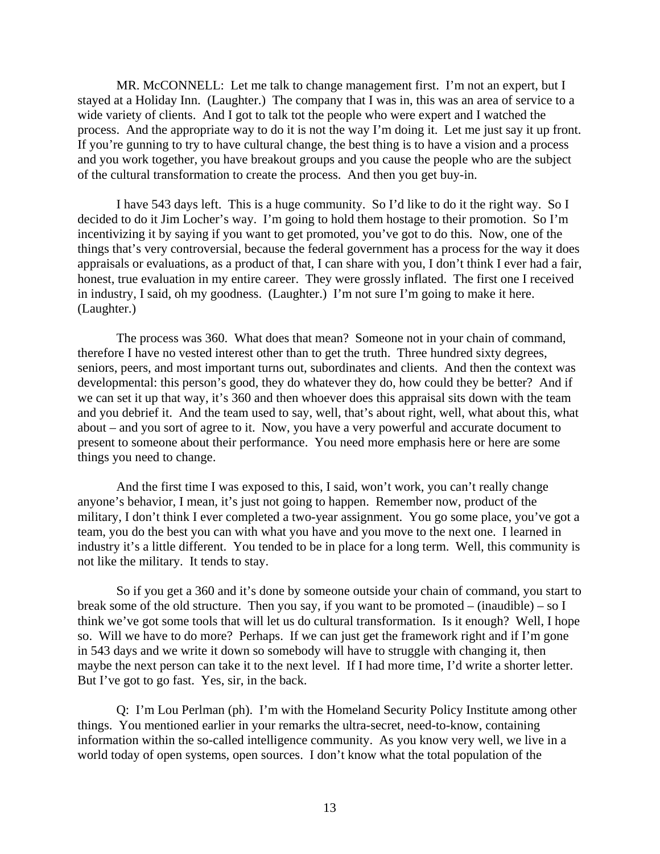MR. McCONNELL: Let me talk to change management first. I'm not an expert, but I stayed at a Holiday Inn. (Laughter.) The company that I was in, this was an area of service to a wide variety of clients. And I got to talk tot the people who were expert and I watched the process. And the appropriate way to do it is not the way I'm doing it. Let me just say it up front. If you're gunning to try to have cultural change, the best thing is to have a vision and a process and you work together, you have breakout groups and you cause the people who are the subject of the cultural transformation to create the process. And then you get buy-in.

I have 543 days left. This is a huge community. So I'd like to do it the right way. So I decided to do it Jim Locher's way. I'm going to hold them hostage to their promotion. So I'm incentivizing it by saying if you want to get promoted, you've got to do this. Now, one of the things that's very controversial, because the federal government has a process for the way it does appraisals or evaluations, as a product of that, I can share with you, I don't think I ever had a fair, honest, true evaluation in my entire career. They were grossly inflated. The first one I received in industry, I said, oh my goodness. (Laughter.) I'm not sure I'm going to make it here. (Laughter.)

The process was 360. What does that mean? Someone not in your chain of command, therefore I have no vested interest other than to get the truth. Three hundred sixty degrees, seniors, peers, and most important turns out, subordinates and clients. And then the context was developmental: this person's good, they do whatever they do, how could they be better? And if we can set it up that way, it's 360 and then whoever does this appraisal sits down with the team and you debrief it. And the team used to say, well, that's about right, well, what about this, what about – and you sort of agree to it. Now, you have a very powerful and accurate document to present to someone about their performance. You need more emphasis here or here are some things you need to change.

And the first time I was exposed to this, I said, won't work, you can't really change anyone's behavior, I mean, it's just not going to happen. Remember now, product of the military, I don't think I ever completed a two-year assignment. You go some place, you've got a team, you do the best you can with what you have and you move to the next one. I learned in industry it's a little different. You tended to be in place for a long term. Well, this community is not like the military. It tends to stay.

So if you get a 360 and it's done by someone outside your chain of command, you start to break some of the old structure. Then you say, if you want to be promoted – (inaudible) – so I think we've got some tools that will let us do cultural transformation. Is it enough? Well, I hope so. Will we have to do more? Perhaps. If we can just get the framework right and if I'm gone in 543 days and we write it down so somebody will have to struggle with changing it, then maybe the next person can take it to the next level. If I had more time, I'd write a shorter letter. But I've got to go fast. Yes, sir, in the back.

Q: I'm Lou Perlman (ph). I'm with the Homeland Security Policy Institute among other things. You mentioned earlier in your remarks the ultra-secret, need-to-know, containing information within the so-called intelligence community. As you know very well, we live in a world today of open systems, open sources. I don't know what the total population of the